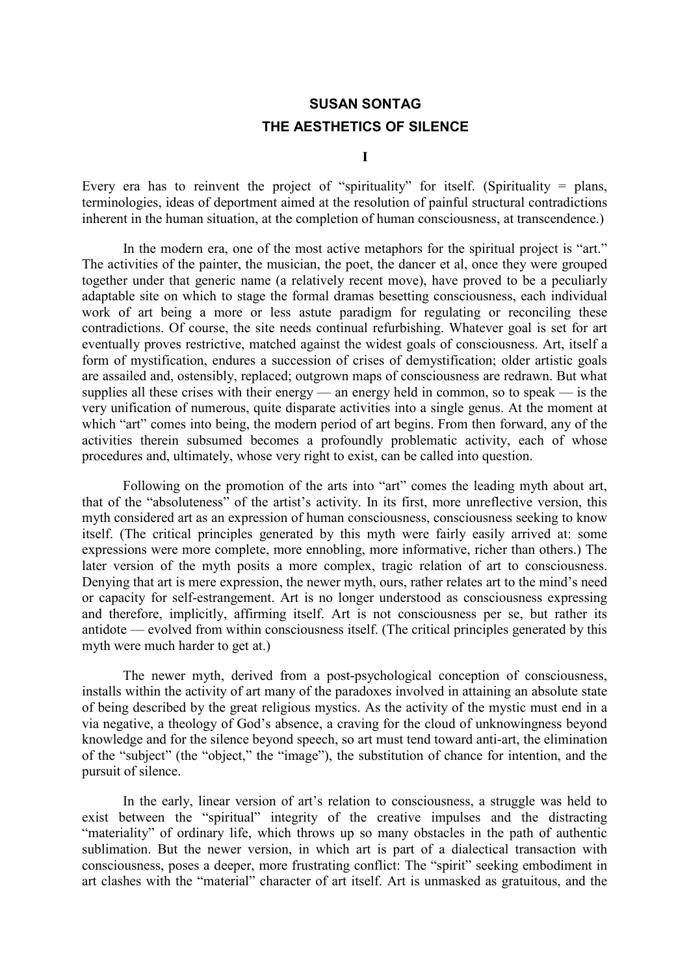# SUSAN SONTAG THE AESTHETICS OF SILENCE

I

Every era has to reinvent the project of "spirituality" for itself. (Spirituality  $=$  plans, terminologies, ideas of deportment aimed at the resolution of painful structural contradictions inherent in the human situation, at the completion of human consciousness, at transcendence.)

In the modern era, one of the most active metaphors for the spiritual project is "art." The activities of the painter, the musician, the poet, the dancer et al, once they were grouped together under that generic name (a relatively recent move), have proved to be a peculiarly adaptable site on which to stage the formal dramas besetting consciousness, each individual work of art being a more or less astute paradigm for regulating or reconciling these contradictions. Of course, the site needs continual refurbishing. Whatever goal is set for art eventually proves restrictive, matched against the widest goals of consciousness. Art, itself a form of mystification, endures a succession of crises of demystification; older artistic goals are assailed and, ostensibly, replaced; outgrown maps of consciousness are redrawn. But what supplies all these crises with their energy — an energy held in common, so to speak — is the very unification of numerous, quite disparate activities into a single genus. At the moment at which "art" comes into being, the modern period of art begins. From then forward, any of the activities therein subsumed becomes a profoundly problematic activity, each of whose procedures and, ultimately, whose very right to exist, can be called into question.

Following on the promotion of the arts into "art" comes the leading myth about art, that of the "absoluteness" of the artist's activity. In its first, more unreflective version, this myth considered art as an expression of human consciousness, consciousness seeking to know itself. (The critical principles generated by this myth were fairly easily arrived at: some expressions were more complete, more ennobling, more informative, richer than others.) The later version of the myth posits a more complex, tragic relation of art to consciousness. Denying that art is mere expression, the newer myth, ours, rather relates art to the mind's need or capacity for self-estrangement. Art is no longer understood as consciousness expressing and therefore, implicitly, affirming itself. Art is not consciousness per se, but rather its antidote — evolved from within consciousness itself. (The critical principles generated by this myth were much harder to get at.)

The newer myth, derived from a post-psychological conception of consciousness, installs within the activity of art many of the paradoxes involved in attaining an absolute state of being described by the great religious mystics. As the activity of the mystic must end in a via negative, a theology of God's absence, a craving for the cloud of unknowingness beyond knowledge and for the silence beyond speech, so art must tend toward anti-art, the elimination of the "subject" (the "object," the "image"), the substitution of chance for intention, and the pursuit of silence.

In the early, linear version of art's relation to consciousness, a struggle was held to exist between the "spiritual" integrity of the creative impulses and the distracting "materiality" of ordinary life, which throws up so many obstacles in the path of authentic sublimation. But the newer version, in which art is part of a dialectical transaction with consciousness, poses a deeper, more frustrating conflict: The "spirit" seeking embodiment in art clashes with the "material" character of art itself. Art is unmasked as gratuitous, and the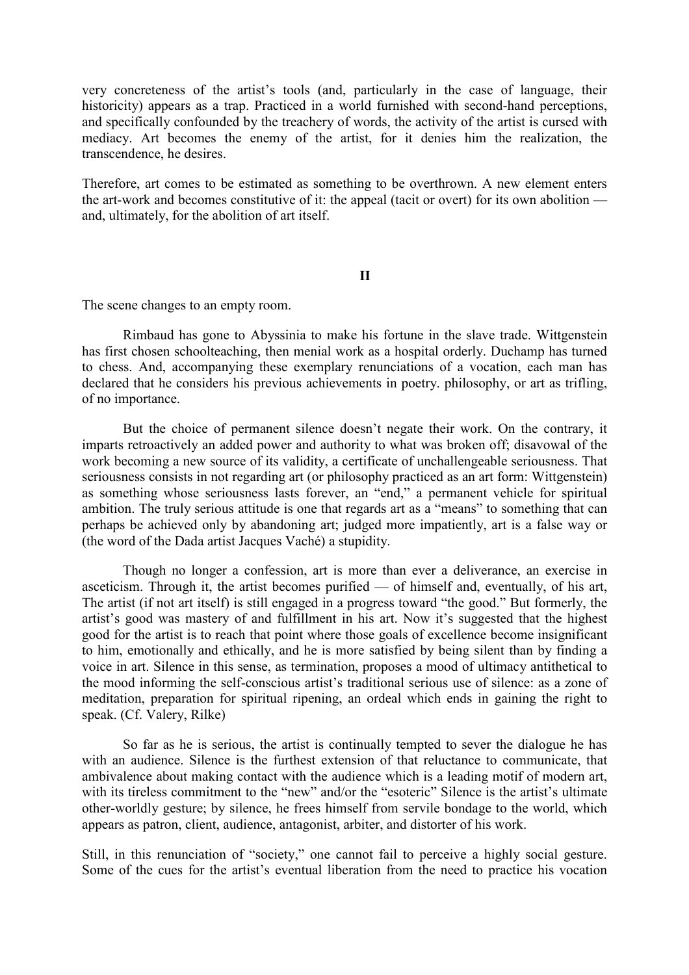very concreteness of the artist's tools (and, particularly in the case of language, their historicity) appears as a trap. Practiced in a world furnished with second-hand perceptions, and specifically confounded by the treachery of words, the activity of the artist is cursed with mediacy. Art becomes the enemy of the artist, for it denies him the realization, the transcendence, he desires.

Therefore, art comes to be estimated as something to be overthrown. A new element enters the art-work and becomes constitutive of it: the appeal (tacit or overt) for its own abolition and, ultimately, for the abolition of art itself.

## II

The scene changes to an empty room.

Rimbaud has gone to Abyssinia to make his fortune in the slave trade. Wittgenstein has first chosen schoolteaching, then menial work as a hospital orderly. Duchamp has turned to chess. And, accompanying these exemplary renunciations of a vocation, each man has declared that he considers his previous achievements in poetry. philosophy, or art as trifling, of no importance.

But the choice of permanent silence doesn't negate their work. On the contrary, it imparts retroactively an added power and authority to what was broken off; disavowal of the work becoming a new source of its validity, a certificate of unchallengeable seriousness. That seriousness consists in not regarding art (or philosophy practiced as an art form: Wittgenstein) as something whose seriousness lasts forever, an "end," a permanent vehicle for spiritual ambition. The truly serious attitude is one that regards art as a "means" to something that can perhaps be achieved only by abandoning art; judged more impatiently, art is a false way or (the word of the Dada artist Jacques Vaché) a stupidity.

Though no longer a confession, art is more than ever a deliverance, an exercise in asceticism. Through it, the artist becomes purified  $-$  of himself and, eventually, of his art, The artist (if not art itself) is still engaged in a progress toward "the good." But formerly, the artist's good was mastery of and fulfillment in his art. Now it's suggested that the highest good for the artist is to reach that point where those goals of excellence become insignificant to him, emotionally and ethically, and he is more satisfied by being silent than by finding a voice in art. Silence in this sense, as termination, proposes a mood of ultimacy antithetical to the mood informing the self-conscious artist's traditional serious use of silence: as a zone of meditation, preparation for spiritual ripening, an ordeal which ends in gaining the right to speak. (Cf. Valery, Rilke)

So far as he is serious, the artist is continually tempted to sever the dialogue he has with an audience. Silence is the furthest extension of that reluctance to communicate, that ambivalence about making contact with the audience which is a leading motif of modern art, with its tireless commitment to the "new" and/or the "esoteric" Silence is the artist's ultimate other-worldly gesture; by silence, he frees himself from servile bondage to the world, which appears as patron, client, audience, antagonist, arbiter, and distorter of his work.

Still, in this renunciation of "society," one cannot fail to perceive a highly social gesture. Some of the cues for the artist's eventual liberation from the need to practice his vocation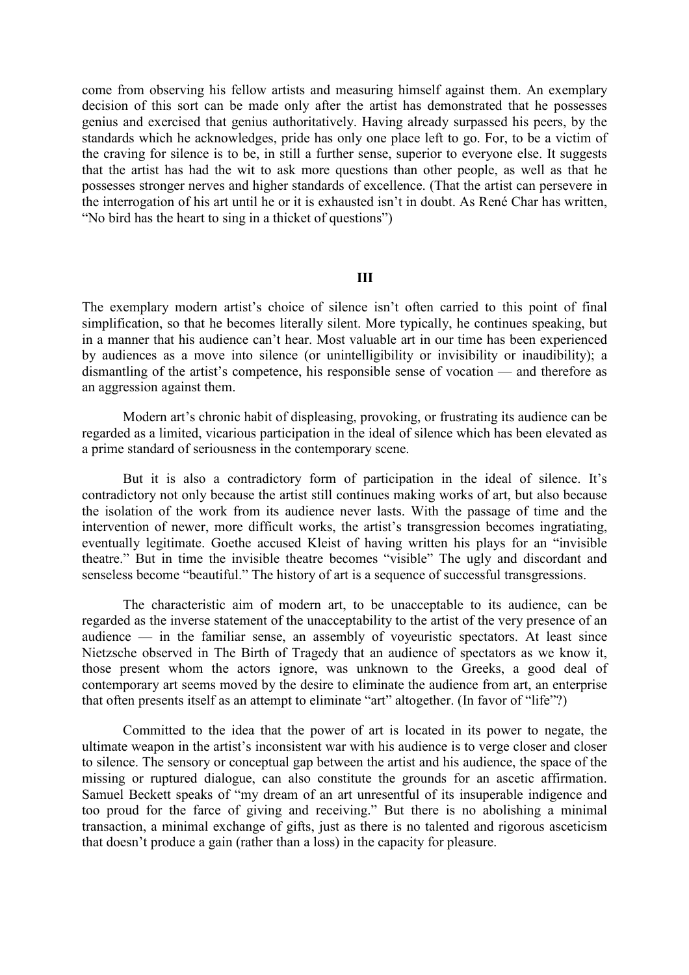come from observing his fellow artists and measuring himself against them. An exemplary decision of this sort can be made only after the artist has demonstrated that he possesses genius and exercised that genius authoritatively. Having already surpassed his peers, by the standards which he acknowledges, pride has only one place left to go. For, to be a victim of the craving for silence is to be, in still a further sense, superior to everyone else. It suggests that the artist has had the wit to ask more questions than other people, as well as that he possesses stronger nerves and higher standards of excellence. (That the artist can persevere in the interrogation of his art until he or it is exhausted isn't in doubt. As René Char has written, "No bird has the heart to sing in a thicket of questions")

## III

The exemplary modern artist's choice of silence isn't often carried to this point of final simplification, so that he becomes literally silent. More typically, he continues speaking, but in a manner that his audience can't hear. Most valuable art in our time has been experienced by audiences as a move into silence (or unintelligibility or invisibility or inaudibility); a dismantling of the artist's competence, his responsible sense of vocation — and therefore as an aggression against them.

Modern art's chronic habit of displeasing, provoking, or frustrating its audience can be regarded as a limited, vicarious participation in the ideal of silence which has been elevated as a prime standard of seriousness in the contemporary scene.

But it is also a contradictory form of participation in the ideal of silence. It's contradictory not only because the artist still continues making works of art, but also because the isolation of the work from its audience never lasts. With the passage of time and the intervention of newer, more difficult works, the artist's transgression becomes ingratiating, eventually legitimate. Goethe accused Kleist of having written his plays for an "invisible theatre." But in time the invisible theatre becomes "visible" The ugly and discordant and senseless become "beautiful." The history of art is a sequence of successful transgressions.

The characteristic aim of modern art, to be unacceptable to its audience, can be regarded as the inverse statement of the unacceptability to the artist of the very presence of an audience — in the familiar sense, an assembly of voyeuristic spectators. At least since Nietzsche observed in The Birth of Tragedy that an audience of spectators as we know it, those present whom the actors ignore, was unknown to the Greeks, a good deal of contemporary art seems moved by the desire to eliminate the audience from art, an enterprise that often presents itself as an attempt to eliminate "art" altogether. (In favor of "life"?)

Committed to the idea that the power of art is located in its power to negate, the ultimate weapon in the artist's inconsistent war with his audience is to verge closer and closer to silence. The sensory or conceptual gap between the artist and his audience, the space of the missing or ruptured dialogue, can also constitute the grounds for an ascetic affirmation. Samuel Beckett speaks of "my dream of an art unresentful of its insuperable indigence and too proud for the farce of giving and receiving." But there is no abolishing a minimal transaction, a minimal exchange of gifts, just as there is no talented and rigorous asceticism that doesn't produce a gain (rather than a loss) in the capacity for pleasure.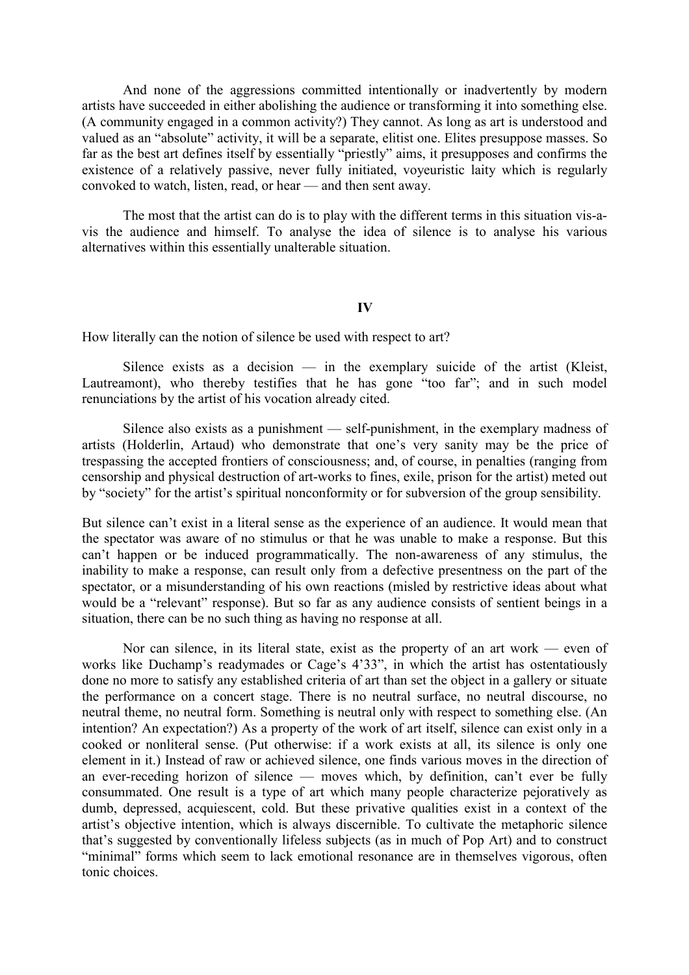And none of the aggressions committed intentionally or inadvertently by modern artists have succeeded in either abolishing the audience or transforming it into something else. (A community engaged in a common activity?) They cannot. As long as art is understood and valued as an "absolute" activity, it will be a separate, elitist one. Elites presuppose masses. So far as the best art defines itself by essentially "priestly" aims, it presupposes and confirms the existence of a relatively passive, never fully initiated, voyeuristic laity which is regularly convoked to watch, listen, read, or hear — and then sent away.

The most that the artist can do is to play with the different terms in this situation vis-avis the audience and himself. To analyse the idea of silence is to analyse his various alternatives within this essentially unalterable situation.

#### IV

How literally can the notion of silence be used with respect to art?

Silence exists as a decision  $-$  in the exemplary suicide of the artist (Kleist, Lautreamont), who thereby testifies that he has gone "too far"; and in such model renunciations by the artist of his vocation already cited.

Silence also exists as a punishment — self-punishment, in the exemplary madness of artists (Holderlin, Artaud) who demonstrate that one's very sanity may be the price of trespassing the accepted frontiers of consciousness; and, of course, in penalties (ranging from censorship and physical destruction of art-works to fines, exile, prison for the artist) meted out by "society" for the artist's spiritual nonconformity or for subversion of the group sensibility.

But silence can't exist in a literal sense as the experience of an audience. It would mean that the spectator was aware of no stimulus or that he was unable to make a response. But this can't happen or be induced programmatically. The non-awareness of any stimulus, the inability to make a response, can result only from a defective presentness on the part of the spectator, or a misunderstanding of his own reactions (misled by restrictive ideas about what would be a "relevant" response). But so far as any audience consists of sentient beings in a situation, there can be no such thing as having no response at all.

Nor can silence, in its literal state, exist as the property of an art work — even of works like Duchamp's readymades or Cage's 4'33", in which the artist has ostentatiously done no more to satisfy any established criteria of art than set the object in a gallery or situate the performance on a concert stage. There is no neutral surface, no neutral discourse, no neutral theme, no neutral form. Something is neutral only with respect to something else. (An intention? An expectation?) As a property of the work of art itself, silence can exist only in a cooked or nonliteral sense. (Put otherwise: if a work exists at all, its silence is only one element in it.) Instead of raw or achieved silence, one finds various moves in the direction of an ever-receding horizon of silence — moves which, by definition, can't ever be fully consummated. One result is a type of art which many people characterize pejoratively as dumb, depressed, acquiescent, cold. But these privative qualities exist in a context of the artist's objective intention, which is always discernible. To cultivate the metaphoric silence that's suggested by conventionally lifeless subjects (as in much of Pop Art) and to construct "minimal" forms which seem to lack emotional resonance are in themselves vigorous, often tonic choices.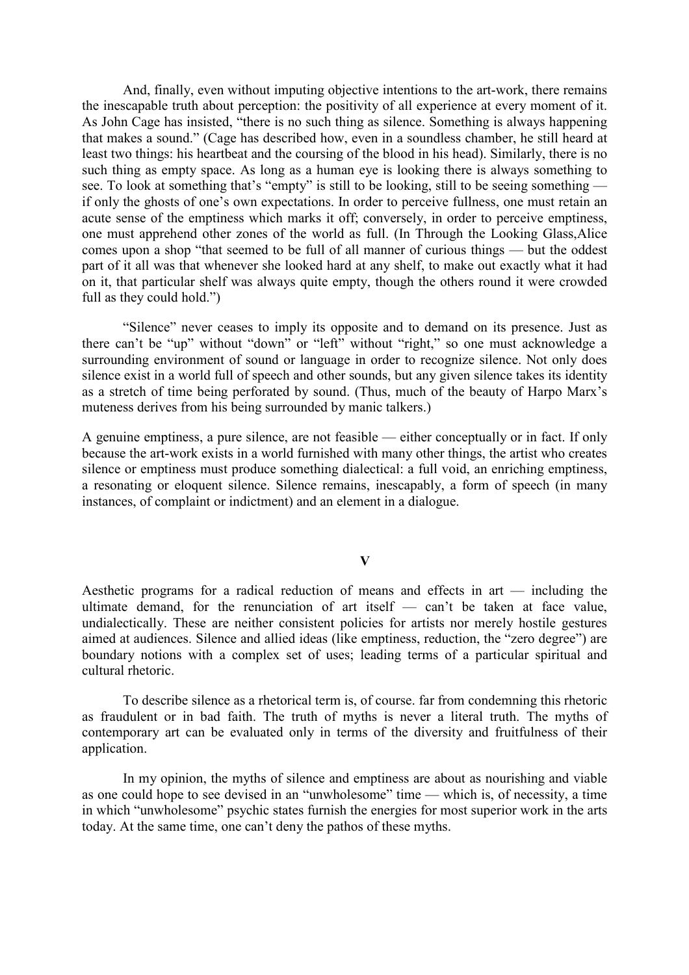And, finally, even without imputing objective intentions to the art-work, there remains the inescapable truth about perception: the positivity of all experience at every moment of it. As John Cage has insisted, "there is no such thing as silence. Something is always happening that makes a sound." (Cage has described how, even in a soundless chamber, he still heard at least two things: his heartbeat and the coursing of the blood in his head). Similarly, there is no such thing as empty space. As long as a human eye is looking there is always something to see. To look at something that's "empty" is still to be looking, still to be seeing something if only the ghosts of one's own expectations. In order to perceive fullness, one must retain an acute sense of the emptiness which marks it off; conversely, in order to perceive emptiness, one must apprehend other zones of the world as full. (In Through the Looking Glass,Alice comes upon a shop "that seemed to be full of all manner of curious things — but the oddest part of it all was that whenever she looked hard at any shelf, to make out exactly what it had on it, that particular shelf was always quite empty, though the others round it were crowded full as they could hold.")

"Silence" never ceases to imply its opposite and to demand on its presence. Just as there can't be "up" without "down" or "left" without "right," so one must acknowledge a surrounding environment of sound or language in order to recognize silence. Not only does silence exist in a world full of speech and other sounds, but any given silence takes its identity as a stretch of time being perforated by sound. (Thus, much of the beauty of Harpo Marx's muteness derives from his being surrounded by manic talkers.)

A genuine emptiness, a pure silence, are not feasible — either conceptually or in fact. If only because the art-work exists in a world furnished with many other things, the artist who creates silence or emptiness must produce something dialectical: a full void, an enriching emptiness, a resonating or eloquent silence. Silence remains, inescapably, a form of speech (in many instances, of complaint or indictment) and an element in a dialogue.

#### V

Aesthetic programs for a radical reduction of means and effects in art — including the ultimate demand, for the renunciation of art itself — can't be taken at face value, undialectically. These are neither consistent policies for artists nor merely hostile gestures aimed at audiences. Silence and allied ideas (like emptiness, reduction, the "zero degree") are boundary notions with a complex set of uses; leading terms of a particular spiritual and cultural rhetoric.

To describe silence as a rhetorical term is, of course. far from condemning this rhetoric as fraudulent or in bad faith. The truth of myths is never a literal truth. The myths of contemporary art can be evaluated only in terms of the diversity and fruitfulness of their application.

In my opinion, the myths of silence and emptiness are about as nourishing and viable as one could hope to see devised in an "unwholesome" time — which is, of necessity, a time in which "unwholesome" psychic states furnish the energies for most superior work in the arts today. At the same time, one can't deny the pathos of these myths.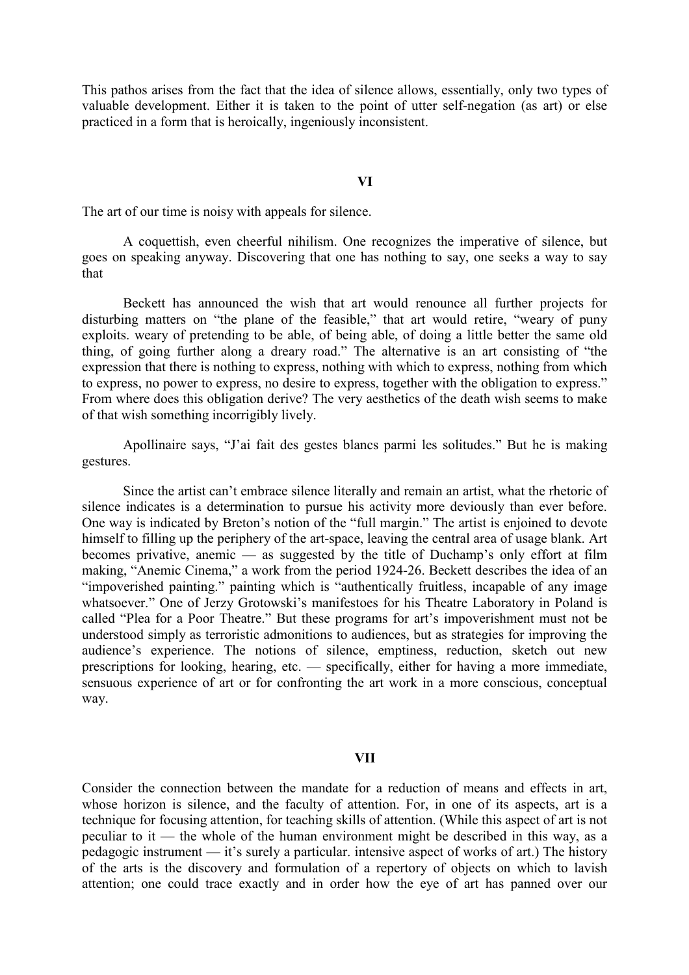This pathos arises from the fact that the idea of silence allows, essentially, only two types of valuable development. Either it is taken to the point of utter self-negation (as art) or else practiced in a form that is heroically, ingeniously inconsistent.

#### VI

The art of our time is noisy with appeals for silence.

A coquettish, even cheerful nihilism. One recognizes the imperative of silence, but goes on speaking anyway. Discovering that one has nothing to say, one seeks a way to say that

Beckett has announced the wish that art would renounce all further projects for disturbing matters on "the plane of the feasible," that art would retire, "weary of puny exploits. weary of pretending to be able, of being able, of doing a little better the same old thing, of going further along a dreary road." The alternative is an art consisting of "the expression that there is nothing to express, nothing with which to express, nothing from which to express, no power to express, no desire to express, together with the obligation to express." From where does this obligation derive? The very aesthetics of the death wish seems to make of that wish something incorrigibly lively.

Apollinaire says, "J'ai fait des gestes blancs parmi les solitudes." But he is making gestures.

Since the artist can't embrace silence literally and remain an artist, what the rhetoric of silence indicates is a determination to pursue his activity more deviously than ever before. One way is indicated by Breton's notion of the "full margin." The artist is enjoined to devote himself to filling up the periphery of the art-space, leaving the central area of usage blank. Art becomes privative, anemic — as suggested by the title of Duchamp's only effort at film making, "Anemic Cinema," a work from the period 1924-26. Beckett describes the idea of an "impoverished painting." painting which is "authentically fruitless, incapable of any image whatsoever." One of Jerzy Grotowski's manifestoes for his Theatre Laboratory in Poland is called "Plea for a Poor Theatre." But these programs for art's impoverishment must not be understood simply as terroristic admonitions to audiences, but as strategies for improving the audience's experience. The notions of silence, emptiness, reduction, sketch out new prescriptions for looking, hearing, etc. — specifically, either for having a more immediate, sensuous experience of art or for confronting the art work in a more conscious, conceptual way.

## VII

Consider the connection between the mandate for a reduction of means and effects in art, whose horizon is silence, and the faculty of attention. For, in one of its aspects, art is a technique for focusing attention, for teaching skills of attention. (While this aspect of art is not peculiar to it — the whole of the human environment might be described in this way, as a pedagogic instrument — it's surely a particular. intensive aspect of works of art.) The history of the arts is the discovery and formulation of a repertory of objects on which to lavish attention; one could trace exactly and in order how the eye of art has panned over our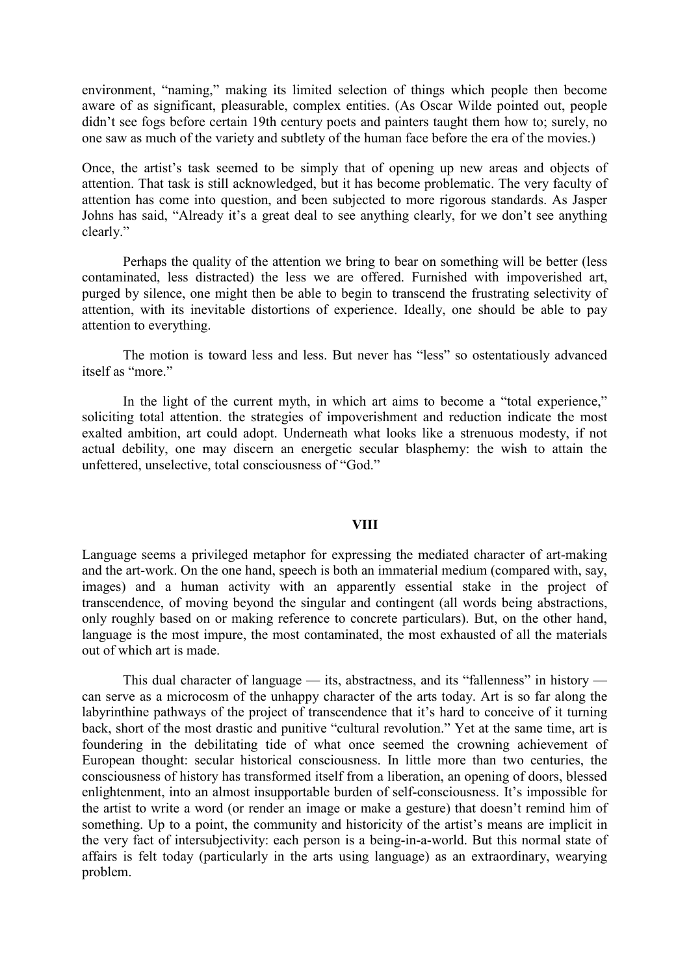environment, "naming," making its limited selection of things which people then become aware of as significant, pleasurable, complex entities. (As Oscar Wilde pointed out, people didn't see fogs before certain 19th century poets and painters taught them how to; surely, no one saw as much of the variety and subtlety of the human face before the era of the movies.)

Once, the artist's task seemed to be simply that of opening up new areas and objects of attention. That task is still acknowledged, but it has become problematic. The very faculty of attention has come into question, and been subjected to more rigorous standards. As Jasper Johns has said, "Already it's a great deal to see anything clearly, for we don't see anything clearly."

Perhaps the quality of the attention we bring to bear on something will be better (less contaminated, less distracted) the less we are offered. Furnished with impoverished art, purged by silence, one might then be able to begin to transcend the frustrating selectivity of attention, with its inevitable distortions of experience. Ideally, one should be able to pay attention to everything.

The motion is toward less and less. But never has "less" so ostentatiously advanced itself as "more."

In the light of the current myth, in which art aims to become a "total experience," soliciting total attention. the strategies of impoverishment and reduction indicate the most exalted ambition, art could adopt. Underneath what looks like a strenuous modesty, if not actual debility, one may discern an energetic secular blasphemy: the wish to attain the unfettered, unselective, total consciousness of "God."

## VIII

Language seems a privileged metaphor for expressing the mediated character of art-making and the art-work. On the one hand, speech is both an immaterial medium (compared with, say, images) and a human activity with an apparently essential stake in the project of transcendence, of moving beyond the singular and contingent (all words being abstractions, only roughly based on or making reference to concrete particulars). But, on the other hand, language is the most impure, the most contaminated, the most exhausted of all the materials out of which art is made.

This dual character of language — its, abstractness, and its "fallenness" in history can serve as a microcosm of the unhappy character of the arts today. Art is so far along the labyrinthine pathways of the project of transcendence that it's hard to conceive of it turning back, short of the most drastic and punitive "cultural revolution." Yet at the same time, art is foundering in the debilitating tide of what once seemed the crowning achievement of European thought: secular historical consciousness. In little more than two centuries, the consciousness of history has transformed itself from a liberation, an opening of doors, blessed enlightenment, into an almost insupportable burden of self-consciousness. It's impossible for the artist to write a word (or render an image or make a gesture) that doesn't remind him of something. Up to a point, the community and historicity of the artist's means are implicit in the very fact of intersubjectivity: each person is a being-in-a-world. But this normal state of affairs is felt today (particularly in the arts using language) as an extraordinary, wearying problem.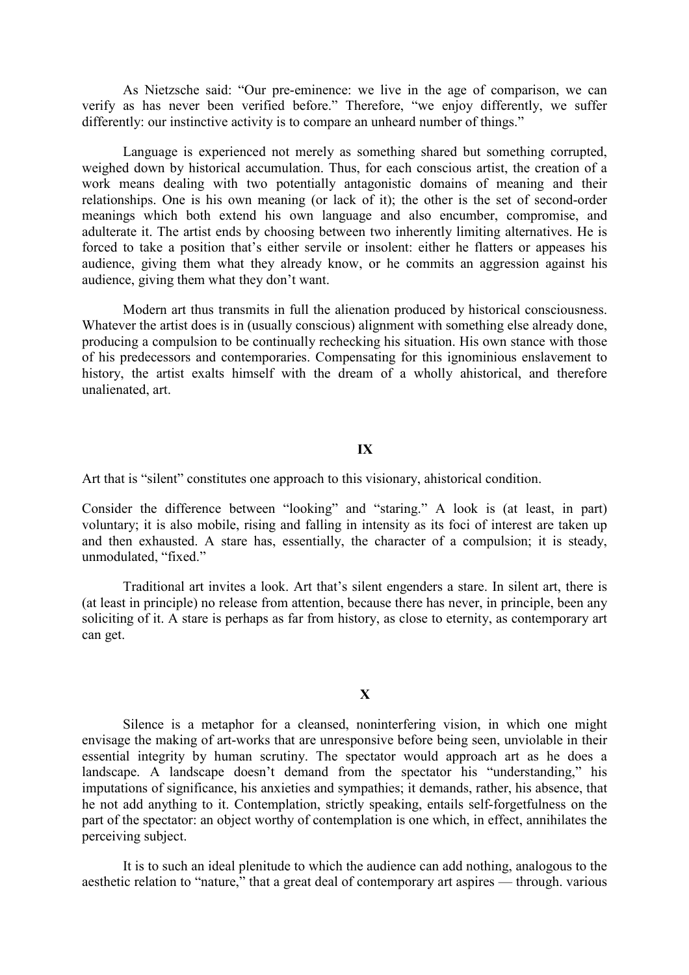As Nietzsche said: "Our pre-eminence: we live in the age of comparison, we can verify as has never been verified before." Therefore, "we enjoy differently, we suffer differently: our instinctive activity is to compare an unheard number of things."

Language is experienced not merely as something shared but something corrupted, weighed down by historical accumulation. Thus, for each conscious artist, the creation of a work means dealing with two potentially antagonistic domains of meaning and their relationships. One is his own meaning (or lack of it); the other is the set of second-order meanings which both extend his own language and also encumber, compromise, and adulterate it. The artist ends by choosing between two inherently limiting alternatives. He is forced to take a position that's either servile or insolent: either he flatters or appeases his audience, giving them what they already know, or he commits an aggression against his audience, giving them what they don't want.

Modern art thus transmits in full the alienation produced by historical consciousness. Whatever the artist does is in (usually conscious) alignment with something else already done, producing a compulsion to be continually rechecking his situation. His own stance with those of his predecessors and contemporaries. Compensating for this ignominious enslavement to history, the artist exalts himself with the dream of a wholly ahistorical, and therefore unalienated, art.

## IX

Art that is "silent" constitutes one approach to this visionary, ahistorical condition.

Consider the difference between "looking" and "staring." A look is (at least, in part) voluntary; it is also mobile, rising and falling in intensity as its foci of interest are taken up and then exhausted. A stare has, essentially, the character of a compulsion; it is steady, unmodulated, "fixed."

Traditional art invites a look. Art that's silent engenders a stare. In silent art, there is (at least in principle) no release from attention, because there has never, in principle, been any soliciting of it. A stare is perhaps as far from history, as close to eternity, as contemporary art can get.

# X

Silence is a metaphor for a cleansed, noninterfering vision, in which one might envisage the making of art-works that are unresponsive before being seen, unviolable in their essential integrity by human scrutiny. The spectator would approach art as he does a landscape. A landscape doesn't demand from the spectator his "understanding," his imputations of significance, his anxieties and sympathies; it demands, rather, his absence, that he not add anything to it. Contemplation, strictly speaking, entails self-forgetfulness on the part of the spectator: an object worthy of contemplation is one which, in effect, annihilates the perceiving subject.

It is to such an ideal plenitude to which the audience can add nothing, analogous to the aesthetic relation to "nature," that a great deal of contemporary art aspires — through. various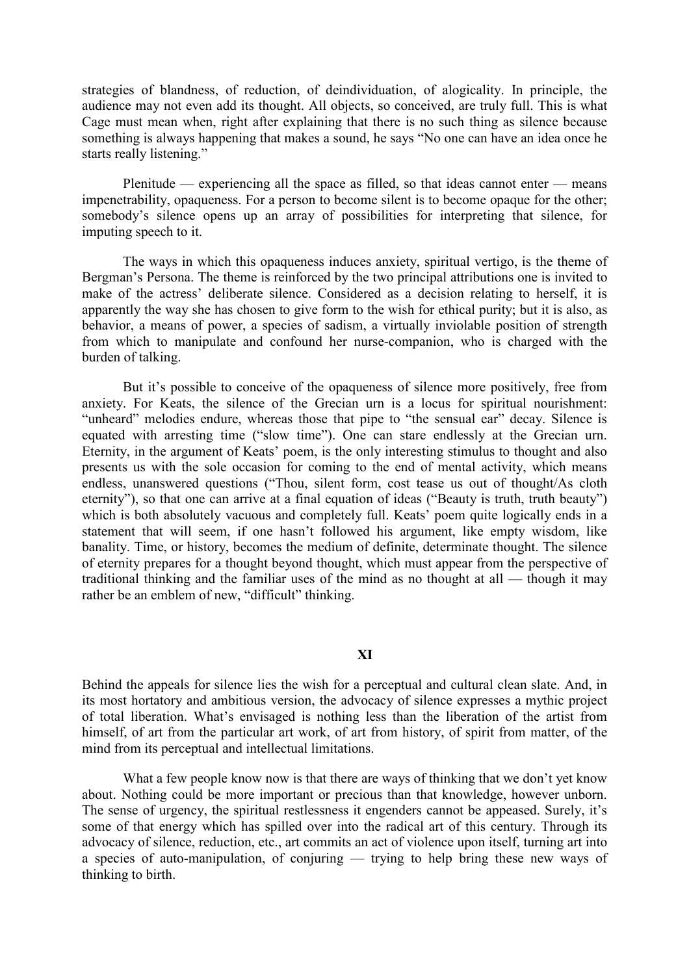strategies of blandness, of reduction, of deindividuation, of alogicality. In principle, the audience may not even add its thought. All objects, so conceived, are truly full. This is what Cage must mean when, right after explaining that there is no such thing as silence because something is always happening that makes a sound, he says "No one can have an idea once he starts really listening."

Plenitude — experiencing all the space as filled, so that ideas cannot enter — means impenetrability, opaqueness. For a person to become silent is to become opaque for the other; somebody's silence opens up an array of possibilities for interpreting that silence, for imputing speech to it.

The ways in which this opaqueness induces anxiety, spiritual vertigo, is the theme of Bergman's Persona. The theme is reinforced by the two principal attributions one is invited to make of the actress' deliberate silence. Considered as a decision relating to herself, it is apparently the way she has chosen to give form to the wish for ethical purity; but it is also, as behavior, a means of power, a species of sadism, a virtually inviolable position of strength from which to manipulate and confound her nurse-companion, who is charged with the burden of talking.

But it's possible to conceive of the opaqueness of silence more positively, free from anxiety. For Keats, the silence of the Grecian urn is a locus for spiritual nourishment: "unheard" melodies endure, whereas those that pipe to "the sensual ear" decay. Silence is equated with arresting time ("slow time"). One can stare endlessly at the Grecian urn. Eternity, in the argument of Keats' poem, is the only interesting stimulus to thought and also presents us with the sole occasion for coming to the end of mental activity, which means endless, unanswered questions ("Thou, silent form, cost tease us out of thought/As cloth eternity"), so that one can arrive at a final equation of ideas ("Beauty is truth, truth beauty") which is both absolutely vacuous and completely full. Keats' poem quite logically ends in a statement that will seem, if one hasn't followed his argument, like empty wisdom, like banality. Time, or history, becomes the medium of definite, determinate thought. The silence of eternity prepares for a thought beyond thought, which must appear from the perspective of traditional thinking and the familiar uses of the mind as no thought at all — though it may rather be an emblem of new, "difficult" thinking.

## XI

Behind the appeals for silence lies the wish for a perceptual and cultural clean slate. And, in its most hortatory and ambitious version, the advocacy of silence expresses a mythic project of total liberation. What's envisaged is nothing less than the liberation of the artist from himself, of art from the particular art work, of art from history, of spirit from matter, of the mind from its perceptual and intellectual limitations.

What a few people know now is that there are ways of thinking that we don't yet know about. Nothing could be more important or precious than that knowledge, however unborn. The sense of urgency, the spiritual restlessness it engenders cannot be appeased. Surely, it's some of that energy which has spilled over into the radical art of this century. Through its advocacy of silence, reduction, etc., art commits an act of violence upon itself, turning art into a species of auto-manipulation, of conjuring — trying to help bring these new ways of thinking to birth.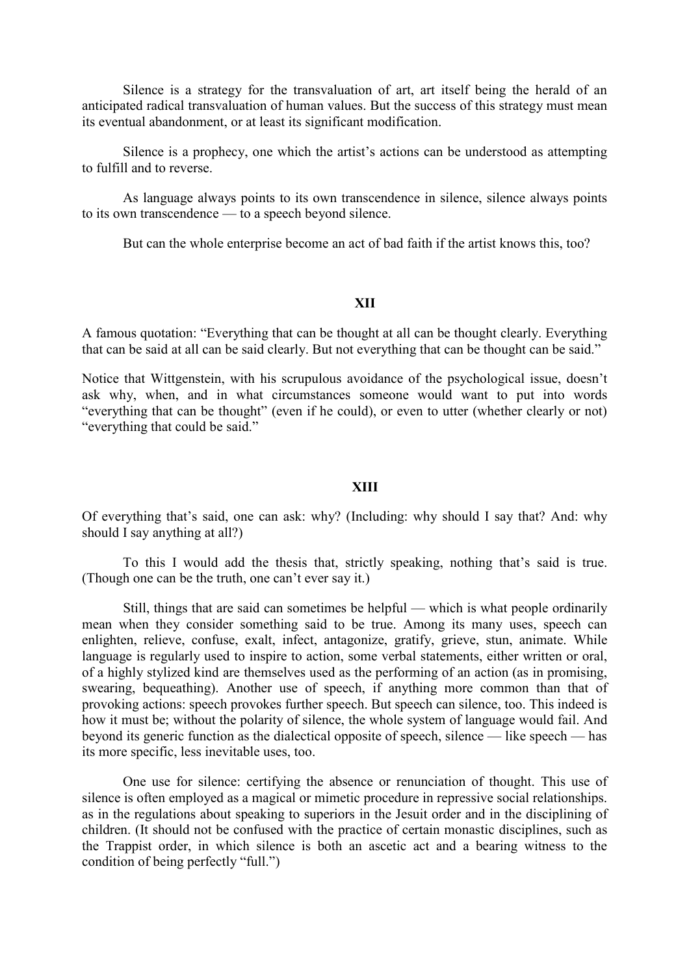Silence is a strategy for the transvaluation of art, art itself being the herald of an anticipated radical transvaluation of human values. But the success of this strategy must mean its eventual abandonment, or at least its significant modification.

Silence is a prophecy, one which the artist's actions can be understood as attempting to fulfill and to reverse.

As language always points to its own transcendence in silence, silence always points to its own transcendence — to a speech beyond silence.

But can the whole enterprise become an act of bad faith if the artist knows this, too?

## XII

A famous quotation: "Everything that can be thought at all can be thought clearly. Everything that can be said at all can be said clearly. But not everything that can be thought can be said."

Notice that Wittgenstein, with his scrupulous avoidance of the psychological issue, doesn't ask why, when, and in what circumstances someone would want to put into words "everything that can be thought" (even if he could), or even to utter (whether clearly or not) "everything that could be said."

## XIII

Of everything that's said, one can ask: why? (Including: why should I say that? And: why should I say anything at all?)

To this I would add the thesis that, strictly speaking, nothing that's said is true. (Though one can be the truth, one can't ever say it.)

Still, things that are said can sometimes be helpful — which is what people ordinarily mean when they consider something said to be true. Among its many uses, speech can enlighten, relieve, confuse, exalt, infect, antagonize, gratify, grieve, stun, animate. While language is regularly used to inspire to action, some verbal statements, either written or oral, of a highly stylized kind are themselves used as the performing of an action (as in promising, swearing, bequeathing). Another use of speech, if anything more common than that of provoking actions: speech provokes further speech. But speech can silence, too. This indeed is how it must be; without the polarity of silence, the whole system of language would fail. And beyond its generic function as the dialectical opposite of speech, silence — like speech — has its more specific, less inevitable uses, too.

One use for silence: certifying the absence or renunciation of thought. This use of silence is often employed as a magical or mimetic procedure in repressive social relationships. as in the regulations about speaking to superiors in the Jesuit order and in the disciplining of children. (It should not be confused with the practice of certain monastic disciplines, such as the Trappist order, in which silence is both an ascetic act and a bearing witness to the condition of being perfectly "full.")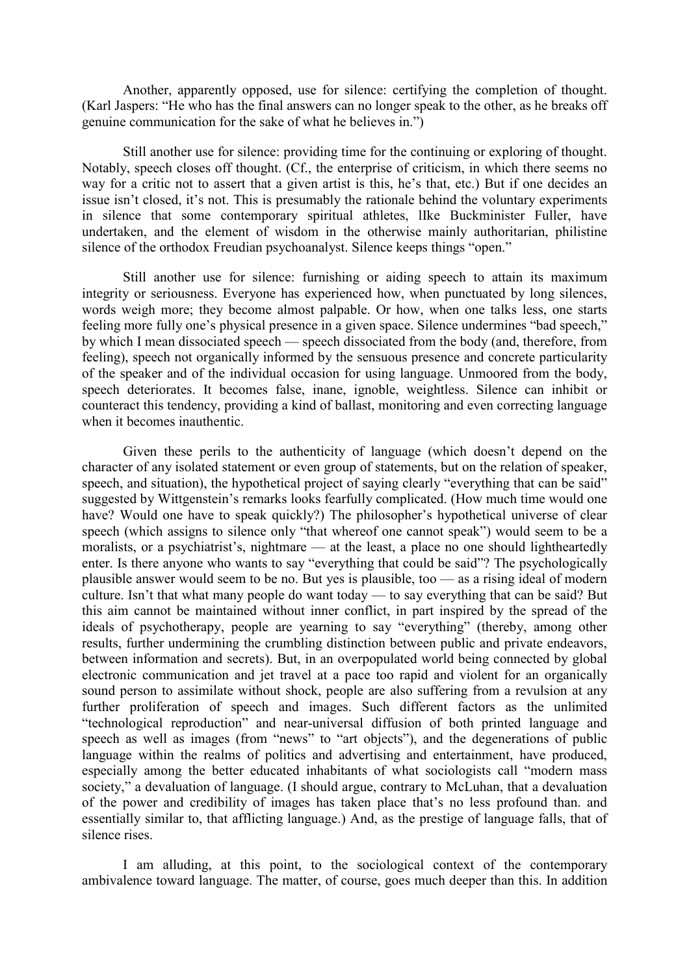Another, apparently opposed, use for silence: certifying the completion of thought. (Karl Jaspers: "He who has the final answers can no longer speak to the other, as he breaks off genuine communication for the sake of what he believes in.")

Still another use for silence: providing time for the continuing or exploring of thought. Notably, speech closes off thought. (Cf., the enterprise of criticism, in which there seems no way for a critic not to assert that a given artist is this, he's that, etc.) But if one decides an issue isn't closed, it's not. This is presumably the rationale behind the voluntary experiments in silence that some contemporary spiritual athletes, lIke Buckminister Fuller, have undertaken, and the element of wisdom in the otherwise mainly authoritarian, philistine silence of the orthodox Freudian psychoanalyst. Silence keeps things "open."

Still another use for silence: furnishing or aiding speech to attain its maximum integrity or seriousness. Everyone has experienced how, when punctuated by long silences, words weigh more; they become almost palpable. Or how, when one talks less, one starts feeling more fully one's physical presence in a given space. Silence undermines "bad speech," by which I mean dissociated speech — speech dissociated from the body (and, therefore, from feeling), speech not organically informed by the sensuous presence and concrete particularity of the speaker and of the individual occasion for using language. Unmoored from the body, speech deteriorates. It becomes false, inane, ignoble, weightless. Silence can inhibit or counteract this tendency, providing a kind of ballast, monitoring and even correcting language when it becomes inauthentic.

Given these perils to the authenticity of language (which doesn't depend on the character of any isolated statement or even group of statements, but on the relation of speaker, speech, and situation), the hypothetical project of saying clearly "everything that can be said" suggested by Wittgenstein's remarks looks fearfully complicated. (How much time would one have? Would one have to speak quickly?) The philosopher's hypothetical universe of clear speech (which assigns to silence only "that whereof one cannot speak") would seem to be a moralists, or a psychiatrist's, nightmare — at the least, a place no one should lightheartedly enter. Is there anyone who wants to say "everything that could be said"? The psychologically plausible answer would seem to be no. But yes is plausible, too — as a rising ideal of modern culture. Isn't that what many people do want today — to say everything that can be said? But this aim cannot be maintained without inner conflict, in part inspired by the spread of the ideals of psychotherapy, people are yearning to say "everything" (thereby, among other results, further undermining the crumbling distinction between public and private endeavors, between information and secrets). But, in an overpopulated world being connected by global electronic communication and jet travel at a pace too rapid and violent for an organically sound person to assimilate without shock, people are also suffering from a revulsion at any further proliferation of speech and images. Such different factors as the unlimited "technological reproduction" and near-universal diffusion of both printed language and speech as well as images (from "news" to "art objects"), and the degenerations of public language within the realms of politics and advertising and entertainment, have produced, especially among the better educated inhabitants of what sociologists call "modern mass society," a devaluation of language. (I should argue, contrary to McLuhan, that a devaluation of the power and credibility of images has taken place that's no less profound than. and essentially similar to, that afflicting language.) And, as the prestige of language falls, that of silence rises.

I am alluding, at this point, to the sociological context of the contemporary ambivalence toward language. The matter, of course, goes much deeper than this. In addition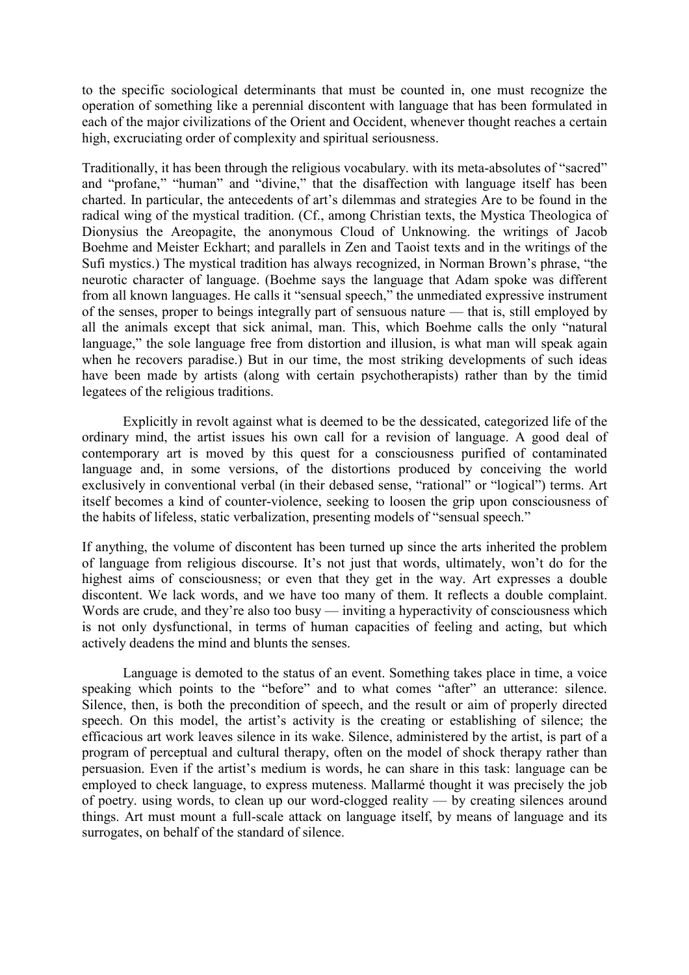to the specific sociological determinants that must be counted in, one must recognize the operation of something like a perennial discontent with language that has been formulated in each of the major civilizations of the Orient and Occident, whenever thought reaches a certain high, excruciating order of complexity and spiritual seriousness.

Traditionally, it has been through the religious vocabulary. with its meta-absolutes of "sacred" and "profane," "human" and "divine," that the disaffection with language itself has been charted. In particular, the antecedents of art's dilemmas and strategies Are to be found in the radical wing of the mystical tradition. (Cf., among Christian texts, the Mystica Theologica of Dionysius the Areopagite, the anonymous Cloud of Unknowing. the writings of Jacob Boehme and Meister Eckhart; and parallels in Zen and Taoist texts and in the writings of the Sufi mystics.) The mystical tradition has always recognized, in Norman Brown's phrase, "the neurotic character of language. (Boehme says the language that Adam spoke was different from all known languages. He calls it "sensual speech," the unmediated expressive instrument of the senses, proper to beings integrally part of sensuous nature — that is, still employed by all the animals except that sick animal, man. This, which Boehme calls the only "natural language," the sole language free from distortion and illusion, is what man will speak again when he recovers paradise.) But in our time, the most striking developments of such ideas have been made by artists (along with certain psychotherapists) rather than by the timid legatees of the religious traditions.

Explicitly in revolt against what is deemed to be the dessicated, categorized life of the ordinary mind, the artist issues his own call for a revision of language. A good deal of contemporary art is moved by this quest for a consciousness purified of contaminated language and, in some versions, of the distortions produced by conceiving the world exclusively in conventional verbal (in their debased sense, "rational" or "logical") terms. Art itself becomes a kind of counter-violence, seeking to loosen the grip upon consciousness of the habits of lifeless, static verbalization, presenting models of "sensual speech."

If anything, the volume of discontent has been turned up since the arts inherited the problem of language from religious discourse. It's not just that words, ultimately, won't do for the highest aims of consciousness; or even that they get in the way. Art expresses a double discontent. We lack words, and we have too many of them. It reflects a double complaint. Words are crude, and they're also too busy — inviting a hyperactivity of consciousness which is not only dysfunctional, in terms of human capacities of feeling and acting, but which actively deadens the mind and blunts the senses.

Language is demoted to the status of an event. Something takes place in time, a voice speaking which points to the "before" and to what comes "after" an utterance: silence. Silence, then, is both the precondition of speech, and the result or aim of properly directed speech. On this model, the artist's activity is the creating or establishing of silence; the efficacious art work leaves silence in its wake. Silence, administered by the artist, is part of a program of perceptual and cultural therapy, often on the model of shock therapy rather than persuasion. Even if the artist's medium is words, he can share in this task: language can be employed to check language, to express muteness. Mallarmé thought it was precisely the job of poetry. using words, to clean up our word-clogged reality — by creating silences around things. Art must mount a full-scale attack on language itself, by means of language and its surrogates, on behalf of the standard of silence.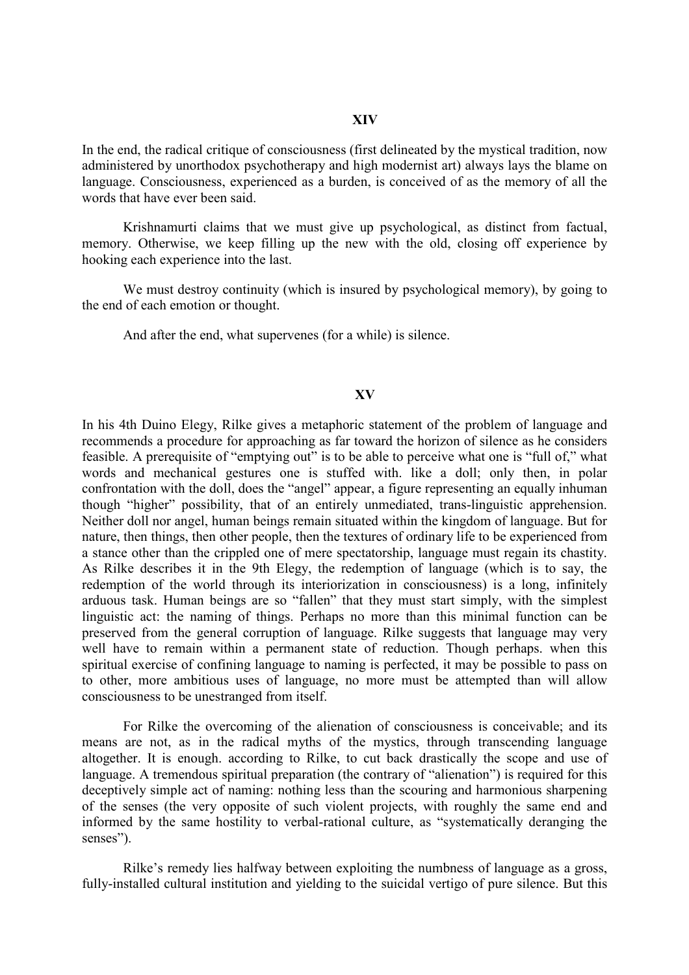In the end, the radical critique of consciousness (first delineated by the mystical tradition, now administered by unorthodox psychotherapy and high modernist art) always lays the blame on language. Consciousness, experienced as a burden, is conceived of as the memory of all the words that have ever been said.

Krishnamurti claims that we must give up psychological, as distinct from factual, memory. Otherwise, we keep filling up the new with the old, closing off experience by hooking each experience into the last.

We must destroy continuity (which is insured by psychological memory), by going to the end of each emotion or thought.

And after the end, what supervenes (for a while) is silence.

## XV

In his 4th Duino Elegy, Rilke gives a metaphoric statement of the problem of language and recommends a procedure for approaching as far toward the horizon of silence as he considers feasible. A prerequisite of "emptying out" is to be able to perceive what one is "full of," what words and mechanical gestures one is stuffed with. like a doll; only then, in polar confrontation with the doll, does the "angel" appear, a figure representing an equally inhuman though "higher" possibility, that of an entirely unmediated, trans-linguistic apprehension. Neither doll nor angel, human beings remain situated within the kingdom of language. But for nature, then things, then other people, then the textures of ordinary life to be experienced from a stance other than the crippled one of mere spectatorship, language must regain its chastity. As Rilke describes it in the 9th Elegy, the redemption of language (which is to say, the redemption of the world through its interiorization in consciousness) is a long, infinitely arduous task. Human beings are so "fallen" that they must start simply, with the simplest linguistic act: the naming of things. Perhaps no more than this minimal function can be preserved from the general corruption of language. Rilke suggests that language may very well have to remain within a permanent state of reduction. Though perhaps. when this spiritual exercise of confining language to naming is perfected, it may be possible to pass on to other, more ambitious uses of language, no more must be attempted than will allow consciousness to be unestranged from itself.

For Rilke the overcoming of the alienation of consciousness is conceivable; and its means are not, as in the radical myths of the mystics, through transcending language altogether. It is enough. according to Rilke, to cut back drastically the scope and use of language. A tremendous spiritual preparation (the contrary of "alienation") is required for this deceptively simple act of naming: nothing less than the scouring and harmonious sharpening of the senses (the very opposite of such violent projects, with roughly the same end and informed by the same hostility to verbal-rational culture, as "systematically deranging the senses").

Rilke's remedy lies halfway between exploiting the numbness of language as a gross, fully-installed cultural institution and yielding to the suicidal vertigo of pure silence. But this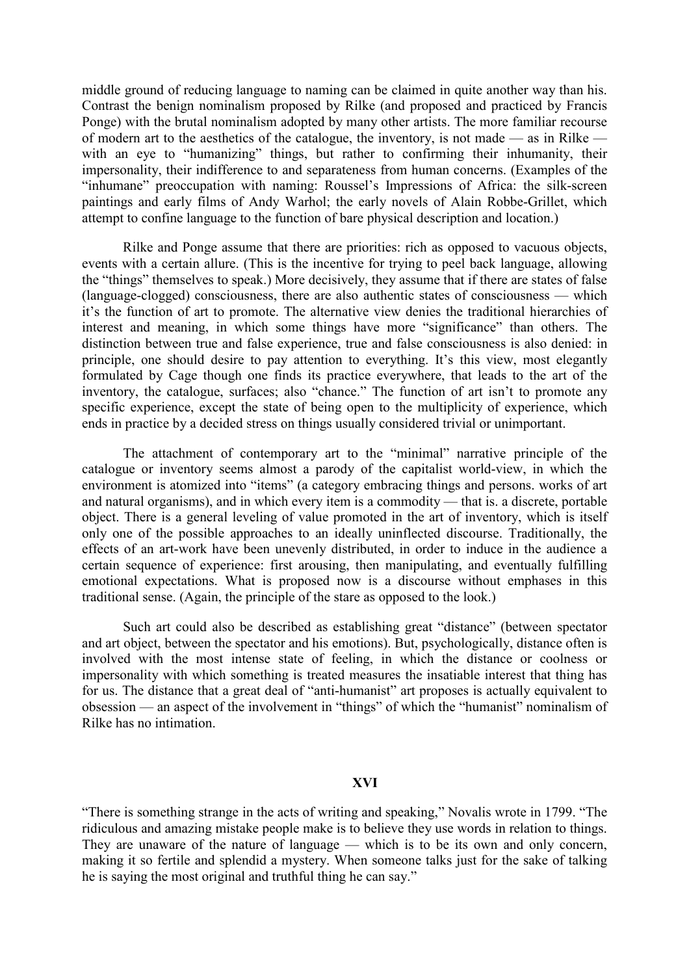middle ground of reducing language to naming can be claimed in quite another way than his. Contrast the benign nominalism proposed by Rilke (and proposed and practiced by Francis Ponge) with the brutal nominalism adopted by many other artists. The more familiar recourse of modern art to the aesthetics of the catalogue, the inventory, is not made — as in Rilke with an eye to "humanizing" things, but rather to confirming their inhumanity, their impersonality, their indifference to and separateness from human concerns. (Examples of the "inhumane" preoccupation with naming: Roussel's Impressions of Africa: the silk-screen paintings and early films of Andy Warhol; the early novels of Alain Robbe-Grillet, which attempt to confine language to the function of bare physical description and location.)

Rilke and Ponge assume that there are priorities: rich as opposed to vacuous objects, events with a certain allure. (This is the incentive for trying to peel back language, allowing the "things" themselves to speak.) More decisively, they assume that if there are states of false (language-clogged) consciousness, there are also authentic states of consciousness — which it's the function of art to promote. The alternative view denies the traditional hierarchies of interest and meaning, in which some things have more "significance" than others. The distinction between true and false experience, true and false consciousness is also denied: in principle, one should desire to pay attention to everything. It's this view, most elegantly formulated by Cage though one finds its practice everywhere, that leads to the art of the inventory, the catalogue, surfaces; also "chance." The function of art isn't to promote any specific experience, except the state of being open to the multiplicity of experience, which ends in practice by a decided stress on things usually considered trivial or unimportant.

The attachment of contemporary art to the "minimal" narrative principle of the catalogue or inventory seems almost a parody of the capitalist world-view, in which the environment is atomized into "items" (a category embracing things and persons. works of art and natural organisms), and in which every item is a commodity — that is. a discrete, portable object. There is a general leveling of value promoted in the art of inventory, which is itself only one of the possible approaches to an ideally uninflected discourse. Traditionally, the effects of an art-work have been unevenly distributed, in order to induce in the audience a certain sequence of experience: first arousing, then manipulating, and eventually fulfilling emotional expectations. What is proposed now is a discourse without emphases in this traditional sense. (Again, the principle of the stare as opposed to the look.)

Such art could also be described as establishing great "distance" (between spectator and art object, between the spectator and his emotions). But, psychologically, distance often is involved with the most intense state of feeling, in which the distance or coolness or impersonality with which something is treated measures the insatiable interest that thing has for us. The distance that a great deal of "anti-humanist" art proposes is actually equivalent to obsession — an aspect of the involvement in "things" of which the "humanist" nominalism of Rilke has no intimation.

#### XVI

"There is something strange in the acts of writing and speaking," Novalis wrote in 1799. "The ridiculous and amazing mistake people make is to believe they use words in relation to things. They are unaware of the nature of language — which is to be its own and only concern, making it so fertile and splendid a mystery. When someone talks just for the sake of talking he is saying the most original and truthful thing he can say."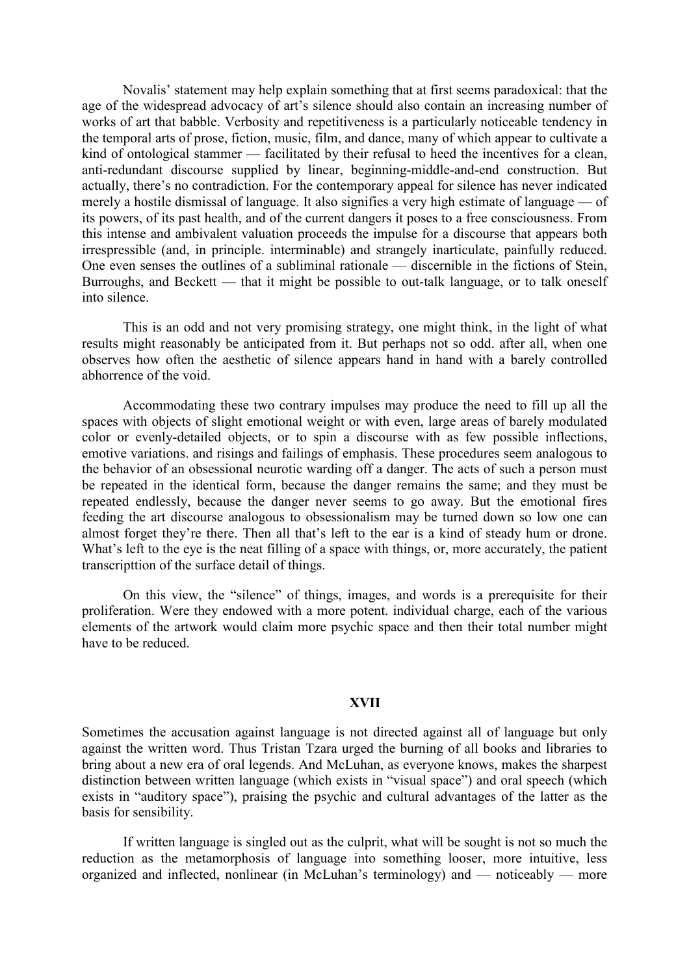Novalis' statement may help explain something that at first seems paradoxical: that the age of the widespread advocacy of art's silence should also contain an increasing number of works of art that babble. Verbosity and repetitiveness is a particularly noticeable tendency in the temporal arts of prose, fiction, music, film, and dance, many of which appear to cultivate a kind of ontological stammer — facilitated by their refusal to heed the incentives for a clean, anti-redundant discourse supplied by linear, beginning-middle-and-end construction. But actually, there's no contradiction. For the contemporary appeal for silence has never indicated merely a hostile dismissal of language. It also signifies a very high estimate of language — of its powers, of its past health, and of the current dangers it poses to a free consciousness. From this intense and ambivalent valuation proceeds the impulse for a discourse that appears both irrespressible (and, in principle. interminable) and strangely inarticulate, painfully reduced. One even senses the outlines of a subliminal rationale — discernible in the fictions of Stein, Burroughs, and Beckett — that it might be possible to out-talk language, or to talk oneself into silence.

This is an odd and not very promising strategy, one might think, in the light of what results might reasonably be anticipated from it. But perhaps not so odd. after all, when one observes how often the aesthetic of silence appears hand in hand with a barely controlled abhorrence of the void.

Accommodating these two contrary impulses may produce the need to fill up all the spaces with objects of slight emotional weight or with even, large areas of barely modulated color or evenly-detailed objects, or to spin a discourse with as few possible inflections, emotive variations. and risings and failings of emphasis. These procedures seem analogous to the behavior of an obsessional neurotic warding off a danger. The acts of such a person must be repeated in the identical form, because the danger remains the same; and they must be repeated endlessly, because the danger never seems to go away. But the emotional fires feeding the art discourse analogous to obsessionalism may be turned down so low one can almost forget they're there. Then all that's left to the ear is a kind of steady hum or drone. What's left to the eye is the neat filling of a space with things, or, more accurately, the patient transcripttion of the surface detail of things.

On this view, the "silence" of things, images, and words is a prerequisite for their proliferation. Were they endowed with a more potent. individual charge, each of the various elements of the artwork would claim more psychic space and then their total number might have to be reduced.

## XVII

Sometimes the accusation against language is not directed against all of language but only against the written word. Thus Tristan Tzara urged the burning of all books and libraries to bring about a new era of oral legends. And McLuhan, as everyone knows, makes the sharpest distinction between written language (which exists in "visual space") and oral speech (which exists in "auditory space"), praising the psychic and cultural advantages of the latter as the basis for sensibility.

If written language is singled out as the culprit, what will be sought is not so much the reduction as the metamorphosis of language into something looser, more intuitive, less organized and inflected, nonlinear (in McLuhan's terminology) and — noticeably — more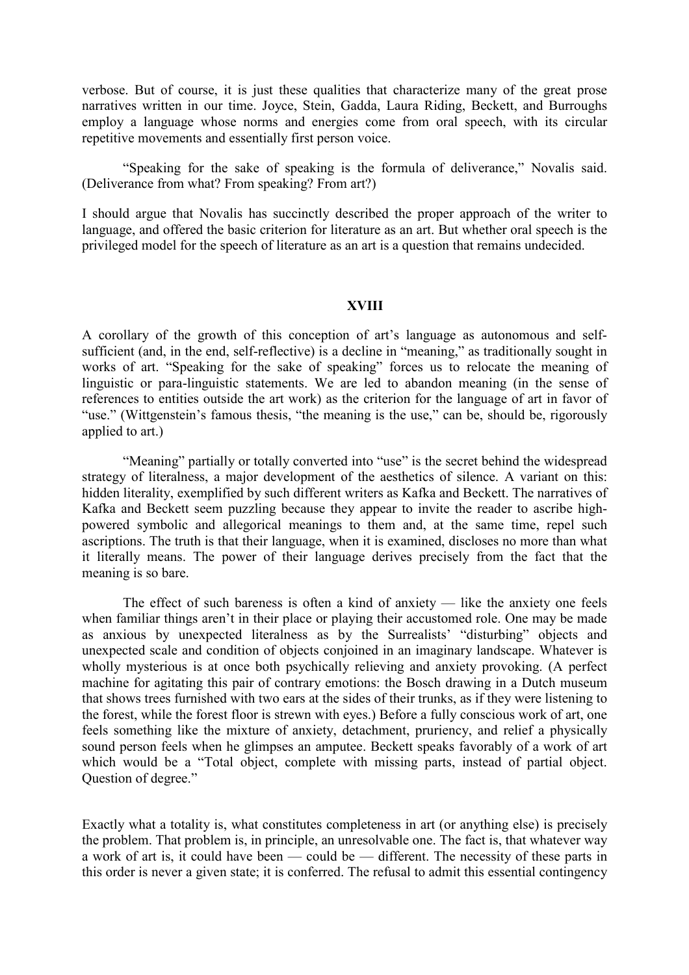verbose. But of course, it is just these qualities that characterize many of the great prose narratives written in our time. Joyce, Stein, Gadda, Laura Riding, Beckett, and Burroughs employ a language whose norms and energies come from oral speech, with its circular repetitive movements and essentially first person voice.

"Speaking for the sake of speaking is the formula of deliverance," Novalis said. (Deliverance from what? From speaking? From art?)

I should argue that Novalis has succinctly described the proper approach of the writer to language, and offered the basic criterion for literature as an art. But whether oral speech is the privileged model for the speech of literature as an art is a question that remains undecided.

#### XVIII

A corollary of the growth of this conception of art's language as autonomous and selfsufficient (and, in the end, self-reflective) is a decline in "meaning," as traditionally sought in works of art. "Speaking for the sake of speaking" forces us to relocate the meaning of linguistic or para-linguistic statements. We are led to abandon meaning (in the sense of references to entities outside the art work) as the criterion for the language of art in favor of "use." (Wittgenstein's famous thesis, "the meaning is the use," can be, should be, rigorously applied to art.)

"Meaning" partially or totally converted into "use" is the secret behind the widespread strategy of literalness, a major development of the aesthetics of silence. A variant on this: hidden literality, exemplified by such different writers as Kafka and Beckett. The narratives of Kafka and Beckett seem puzzling because they appear to invite the reader to ascribe highpowered symbolic and allegorical meanings to them and, at the same time, repel such ascriptions. The truth is that their language, when it is examined, discloses no more than what it literally means. The power of their language derives precisely from the fact that the meaning is so bare.

The effect of such bareness is often a kind of anxiety — like the anxiety one feels when familiar things aren't in their place or playing their accustomed role. One may be made as anxious by unexpected literalness as by the Surrealists' "disturbing" objects and unexpected scale and condition of objects conjoined in an imaginary landscape. Whatever is wholly mysterious is at once both psychically relieving and anxiety provoking. (A perfect machine for agitating this pair of contrary emotions: the Bosch drawing in a Dutch museum that shows trees furnished with two ears at the sides of their trunks, as if they were listening to the forest, while the forest floor is strewn with eyes.) Before a fully conscious work of art, one feels something like the mixture of anxiety, detachment, pruriency, and relief a physically sound person feels when he glimpses an amputee. Beckett speaks favorably of a work of art which would be a "Total object, complete with missing parts, instead of partial object. Question of degree."

Exactly what a totality is, what constitutes completeness in art (or anything else) is precisely the problem. That problem is, in principle, an unresolvable one. The fact is, that whatever way a work of art is, it could have been — could be — different. The necessity of these parts in this order is never a given state; it is conferred. The refusal to admit this essential contingency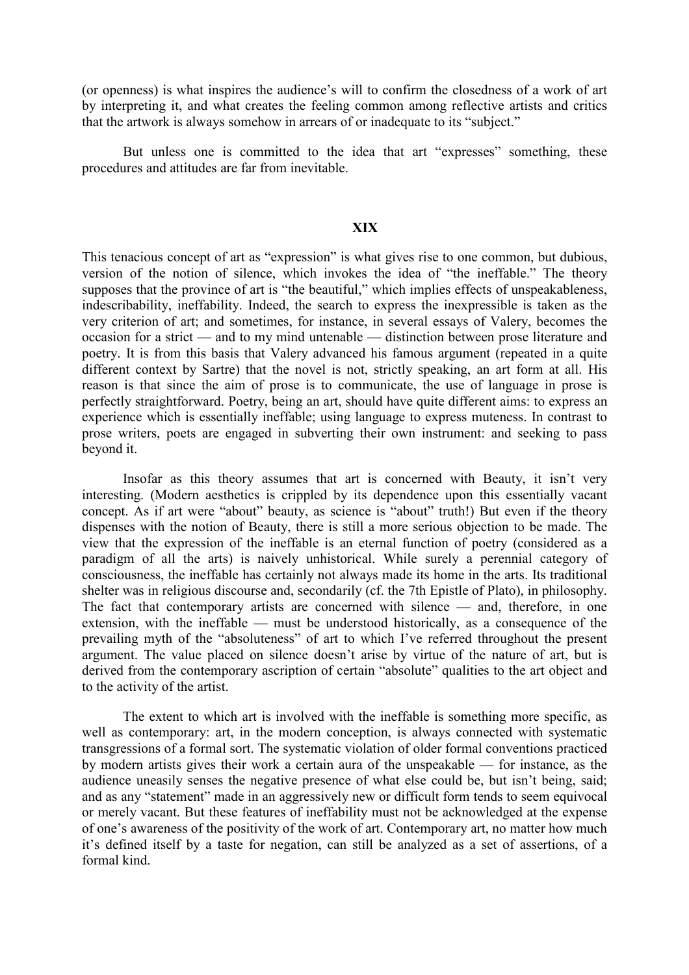(or openness) is what inspires the audience's will to confirm the closedness of a work of art by interpreting it, and what creates the feeling common among reflective artists and critics that the artwork is always somehow in arrears of or inadequate to its "subject."

But unless one is committed to the idea that art "expresses" something, these procedures and attitudes are far from inevitable.

## XIX

This tenacious concept of art as "expression" is what gives rise to one common, but dubious, version of the notion of silence, which invokes the idea of "the ineffable." The theory supposes that the province of art is "the beautiful," which implies effects of unspeakableness, indescribability, ineffability. Indeed, the search to express the inexpressible is taken as the very criterion of art; and sometimes, for instance, in several essays of Valery, becomes the occasion for a strict — and to my mind untenable — distinction between prose literature and poetry. It is from this basis that Valery advanced his famous argument (repeated in a quite different context by Sartre) that the novel is not, strictly speaking, an art form at all. His reason is that since the aim of prose is to communicate, the use of language in prose is perfectly straightforward. Poetry, being an art, should have quite different aims: to express an experience which is essentially ineffable; using language to express muteness. In contrast to prose writers, poets are engaged in subverting their own instrument: and seeking to pass beyond it.

Insofar as this theory assumes that art is concerned with Beauty, it isn't very interesting. (Modern aesthetics is crippled by its dependence upon this essentially vacant concept. As if art were "about" beauty, as science is "about" truth!) But even if the theory dispenses with the notion of Beauty, there is still a more serious objection to be made. The view that the expression of the ineffable is an eternal function of poetry (considered as a paradigm of all the arts) is naively unhistorical. While surely a perennial category of consciousness, the ineffable has certainly not always made its home in the arts. Its traditional shelter was in religious discourse and, secondarily (cf. the 7th Epistle of Plato), in philosophy. The fact that contemporary artists are concerned with silence — and, therefore, in one extension, with the ineffable — must be understood historically, as a consequence of the prevailing myth of the "absoluteness" of art to which I've referred throughout the present argument. The value placed on silence doesn't arise by virtue of the nature of art, but is derived from the contemporary ascription of certain "absolute" qualities to the art object and to the activity of the artist.

The extent to which art is involved with the ineffable is something more specific, as well as contemporary: art, in the modern conception, is always connected with systematic transgressions of a formal sort. The systematic violation of older formal conventions practiced by modern artists gives their work a certain aura of the unspeakable — for instance, as the audience uneasily senses the negative presence of what else could be, but isn't being, said; and as any "statement" made in an aggressively new or difficult form tends to seem equivocal or merely vacant. But these features of ineffability must not be acknowledged at the expense of one's awareness of the positivity of the work of art. Contemporary art, no matter how much it's defined itself by a taste for negation, can still be analyzed as a set of assertions, of a formal kind.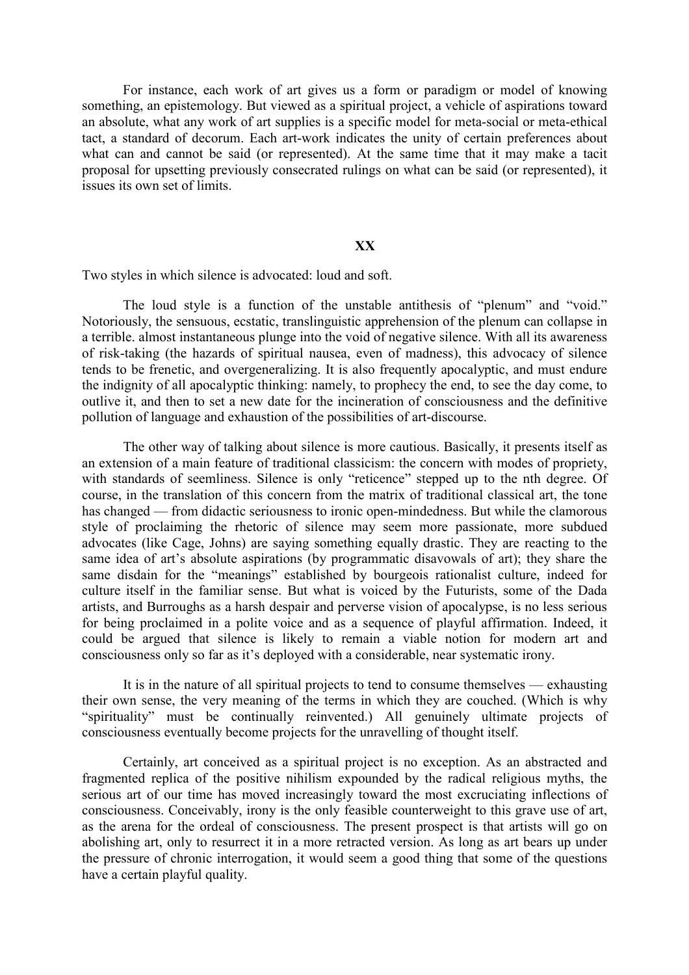For instance, each work of art gives us a form or paradigm or model of knowing something, an epistemology. But viewed as a spiritual project, a vehicle of aspirations toward an absolute, what any work of art supplies is a specific model for meta-social or meta-ethical tact, a standard of decorum. Each art-work indicates the unity of certain preferences about what can and cannot be said (or represented). At the same time that it may make a tacit proposal for upsetting previously consecrated rulings on what can be said (or represented), it issues its own set of limits.

#### XX

Two styles in which silence is advocated: loud and soft.

The loud style is a function of the unstable antithesis of "plenum" and "void." Notoriously, the sensuous, ecstatic, translinguistic apprehension of the plenum can collapse in a terrible. almost instantaneous plunge into the void of negative silence. With all its awareness of risk-taking (the hazards of spiritual nausea, even of madness), this advocacy of silence tends to be frenetic, and overgeneralizing. It is also frequently apocalyptic, and must endure the indignity of all apocalyptic thinking: namely, to prophecy the end, to see the day come, to outlive it, and then to set a new date for the incineration of consciousness and the definitive pollution of language and exhaustion of the possibilities of art-discourse.

The other way of talking about silence is more cautious. Basically, it presents itself as an extension of a main feature of traditional classicism: the concern with modes of propriety, with standards of seemliness. Silence is only "reticence" stepped up to the nth degree. Of course, in the translation of this concern from the matrix of traditional classical art, the tone has changed — from didactic seriousness to ironic open-mindedness. But while the clamorous style of proclaiming the rhetoric of silence may seem more passionate, more subdued advocates (like Cage, Johns) are saying something equally drastic. They are reacting to the same idea of art's absolute aspirations (by programmatic disavowals of art); they share the same disdain for the "meanings" established by bourgeois rationalist culture, indeed for culture itself in the familiar sense. But what is voiced by the Futurists, some of the Dada artists, and Burroughs as a harsh despair and perverse vision of apocalypse, is no less serious for being proclaimed in a polite voice and as a sequence of playful affirmation. Indeed, it could be argued that silence is likely to remain a viable notion for modern art and consciousness only so far as it's deployed with a considerable, near systematic irony.

It is in the nature of all spiritual projects to tend to consume themselves — exhausting their own sense, the very meaning of the terms in which they are couched. (Which is why "spirituality" must be continually reinvented.) All genuinely ultimate projects of consciousness eventually become projects for the unravelling of thought itself.

Certainly, art conceived as a spiritual project is no exception. As an abstracted and fragmented replica of the positive nihilism expounded by the radical religious myths, the serious art of our time has moved increasingly toward the most excruciating inflections of consciousness. Conceivably, irony is the only feasible counterweight to this grave use of art, as the arena for the ordeal of consciousness. The present prospect is that artists will go on abolishing art, only to resurrect it in a more retracted version. As long as art bears up under the pressure of chronic interrogation, it would seem a good thing that some of the questions have a certain playful quality.